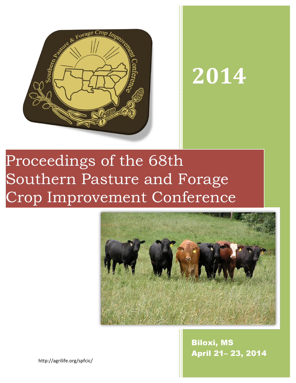

# **2014**

## Proceedings of the 68th Southern Pasture and Forage Crop Improvement Conference



Biloxi, MS April 21– 23, 2014

http://agrilife.org/spfcic/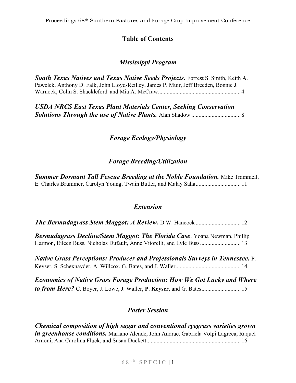## **Table of Contents**

## *Mississippi Program*

*South Texas Natives and Texas Native Seeds Projects.* Forrest S. Smith, Keith A. Pawelek, Anthony D. Falk, John Lloyd-Reilley, James P. Muir, Jeff Breeden, Bonnie J. Warnock, Colin S. Shackleford, and Mia A. McCraw.........................................................4

*USDA NRCS East Texas Plant Materials Center, Seeking Conservation Solutions Through the use of Native Plants.* Alan Shadow .................................. 8

## *Forage Ecology/Physiology*

## *Forage Breeding/Utilization*

**Summer Dormant Tall Fescue Breeding at the Noble Foundation.** Mike Trammell, E. Charles Brummer, Carolyn Young, Twain Butler, and Malay Saha............................... 11

## *Extension*

| Bermudagrass Decline/Stem Maggot: The Florida Case. Yoana Newman, Phillip            |  |
|--------------------------------------------------------------------------------------|--|
| Harmon, Eileen Buss, Nicholas Dufault, Anne Vitorelli, and Lyle Buss 13              |  |
| <b>Native Grass Perceptions: Producer and Professionals Surveys in Tennessee.</b> P. |  |
|                                                                                      |  |
| <b>Economics of Native Grass Forage Production: How We Got Lucky and Where</b>       |  |
| to from Here? C. Boyer, J. Lowe, J. Waller, P. Keyser, and G. Bates 15               |  |

## *Poster Session*

*Chemical composition of high sugar and conventional ryegrass varieties grown in greenhouse conditions.* Mariano Alende, John Andrae, Gabriela Volpi Lagreca, Raquel Arnoni, Ana Carolina Fluck, and Susan Duckett................................................................. 16

## $68$ <sup>th</sup> SPFCIC | 1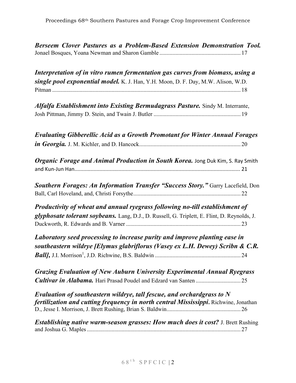| Berseem Clover Pastures as a Problem-Based Extension Demonstration Tool.                                                                                                     |
|------------------------------------------------------------------------------------------------------------------------------------------------------------------------------|
| Interpretation of in vitro rumen fermentation gas curves from biomass, using a<br>single pool exponential model. K. J. Han, Y.H. Moon, D. F. Day, M.W. Alison, W.D.          |
|                                                                                                                                                                              |
| Alfalfa Establishment into Existing Bermudagrass Pasture. Sindy M. Interrante,                                                                                               |
| <b>Evaluating Gibberellic Acid as a Growth Promotant for Winter Annual Forages</b>                                                                                           |
| Organic Forage and Animal Production in South Korea. Jong Duk Kim, S. Ray Smith                                                                                              |
| <b>Southern Forages: An Information Transfer "Success Story."</b> Garry Lacefield, Don                                                                                       |
| Productivity of wheat and annual ryegrass following no-till establishment of<br>glyphosate tolerant soybeans. Lang, D.J., D. Russell, G. Triplett, E. Flint, D. Reynolds, J. |
| Laboratory seed processing to increase purity and improve planting ease in                                                                                                   |
| southeastern wildrye [Elymus glabriflorus (Vasey ex L.H. Dewey) Scribn & C.R.                                                                                                |
| <b>Grazing Evaluation of New Auburn University Experimental Annual Ryegrass</b>                                                                                              |
| Evaluation of southeastern wildrye, tall fescue, and orchardgrass to N<br>fertilization and cutting frequency in north central Mississippi. Richwine, Jonathan               |
| <b>Establishing native warm-season grasses: How much does it cost?</b> J. Brett Rushing                                                                                      |
|                                                                                                                                                                              |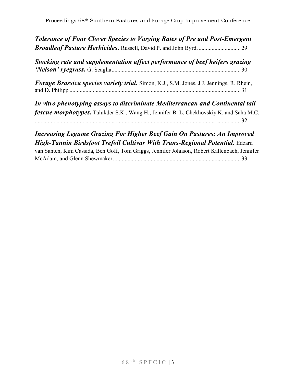*Tolerance of Four Clover Species to Varying Rates of Pre and Post-Emergent Broadleaf Pasture Herbicides***.** Russell, David P. and John Byrd .............................. 29

*Stocking rate and supplementation affect performance of beef heifers grazing 'Nelson' ryegrass***.** G. Scaglia......................................................................................... 30

*Forage Brassica species variety trial.* Simon, K.J., S.M. Jones, J.J. Jennings, R. Rhein, and D. Philipp ...................................................................................................................... 31

*In vitro phenotyping assays to discriminate Mediterranean and Continental tall fescue morphotypes*. Talukder S.K., Wang H., Jennifer B. L. Chekhovskiy K. and Saha M.C. .............................................................................................................................................. 32

## *Increasing Legume Grazing For Higher Beef Gain On Pastures: An Improved High-Tannin Birdsfoot Trefoil Cultivar With Trans-Regional Potential***.** Edzard

van Santen, Kim Cassida, Ben Goff, Tom Griggs, Jennifer Johnson, Robert Kallenbach, Jennifer McAdam, and Glenn Shewmaker........................................................................................ 33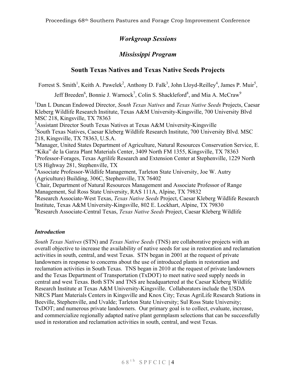## *Workgroup Sessions*

## *Mississippi Program*

## **South Texas Natives and Texas Native Seeds Projects**

Forrest S. Smith<sup>1</sup>, Keith A. Pawelek<sup>2</sup>, Anthony D. Falk<sup>3</sup>, John Lloyd-Reilley<sup>4</sup>, James P. Muir<sup>5</sup>,

Jeff Breeden<sup>6</sup>, Bonnie J. Warnock<sup>7</sup>, Colin S. Shackleford<sup>8</sup>, and Mia A. McCraw<sup>9</sup>

1 Dan L Duncan Endowed Director, *South Texas Natives* and *Texas Native Seeds* Projects, Caesar Kleberg Wildlife Research Institute, Texas A&M University-Kingsville, 700 University Blvd MSC 218, Kingsville, TX 78363

<sup>2</sup> Assistant Director South Texas Natives at Texas A&M University-Kingsville <sup>3</sup> South Texas Natives, Caesar Kleberg Wildlife Research Institute, 700 University Blvd. MSC 218, Kingsville, TX 78363, U.S.A.

<sup>4</sup>Manager, United States Department of Agriculture, Natural Resources Conservation Service, E. "Kika" de la Garza Plant Materials Center, 3409 North FM 1355, Kingsville, TX 78363 <sup>5</sup>Professor-Forages, Texas Agrilife Research and Extension Center at Stephenville, 1229 North US Highway 281, Stephenville, TX

<sup>6</sup> Associate Professor-Wildlife Management, Tarleton State University, Joe W. Autry (Agriculture) Building, 306C, Stephenville, TX 76402

7 Chair, Department of Natural Resources Management and Associate Professor of Range Management, Sul Ross State University, RAS 111A, Alpine, TX 79832

8 Research Associate-West Texas, *Texas Native Seeds* Project, Caesar Kleberg Wildlife Research Institute, Texas A&M University-Kingsville, 802 E. Lockhart, Alpine, TX 79830

9 Research Associate-Central Texas, *Texas Native Seeds* Project, Caesar Kleberg Wildlife

#### *Introduction*

*South Texas Natives* (STN) and *Texas Native Seeds* (TNS) are collaborative projects with an overall objective to increase the availability of native seeds for use in restoration and reclamation activities in south, central, and west Texas. STN began in 2001 at the request of private landowners in response to concerns about the use of introduced plants in restoration and reclamation activities in South Texas. TNS began in 2010 at the request of private landowners and the Texas Department of Transportation (TxDOT) to meet native seed supply needs in central and west Texas. Both STN and TNS are headquartered at the Caesar Kleberg Wildlife Research Institute at Texas A&M University-Kingsville. Collaborators include the USDA NRCS Plant Materials Centers in Kingsville and Knox City; Texas AgriLife Research Stations in Beeville, Stephenville, and Uvalde; Tarleton State University; Sul Ross State University; TxDOT; and numerous private landowners. Our primary goal is to collect, evaluate, increase, and commercialize regionally adapted native plant germplasm selections that can be successfully used in restoration and reclamation activities in south, central, and west Texas.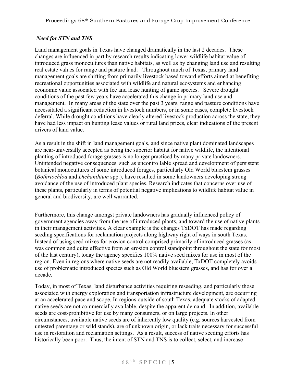#### *Need for STN and TNS*

Land management goals in Texas have changed dramatically in the last 2 decades. These changes are influenced in part by research results indicating lower wildlife habitat value of introduced grass monocultures than native habitats, as well as by changing land use and resulting real estate values for range and pasture land. Throughout much of Texas, primary land management goals are shifting from primarily livestock based toward efforts aimed at benefiting recreational opportunities associated with wildlife and natural ecosystems and enhancing economic value associated with fee and lease hunting of game species. Severe drought conditions of the past few years have accelerated this change in primary land use and management. In many areas of the state over the past 3 years, range and pasture conditions have necessitated a significant reduction in livestock numbers, or in some cases, complete livestock deferral. While drought conditions have clearly altered livestock production across the state, they have had less impact on hunting lease values or rural land prices, clear indications of the present drivers of land value.

As a result in the shift in land management goals, and since native plant dominated landscapes are near-universally accepted as being the superior habitat for native wildlife, the intentional planting of introduced forage grasses is no longer practiced by many private landowners. Unintended negative consequences such as uncontrollable spread and development of persistent botanical monocultures of some introduced forages, particularly Old World bluestem grasses (*Bothriochloa* and *Dichanthium* spp.), have resulted in some landowners developing strong avoidance of the use of introduced plant species. Research indicates that concerns over use of these plants, particularly in terms of potential negative implications to wildlife habitat value in general and biodiversity, are well warranted.

Furthermore, this change amongst private landowners has gradually influenced policy of government agencies away from the use of introduced plants, and toward the use of native plants in their management activities. A clear example is the changes TxDOT has made regarding seeding specifications for reclamation projects along highway right of ways in south Texas. Instead of using seed mixes for erosion control comprised primarily of introduced grasses (as was common and quite effective from an erosion control standpoint throughout the state for most of the last century), today the agency specifies 100% native seed mixes for use in most of the region. Even in regions where native seeds are not readily available, TxDOT completely avoids use of problematic introduced species such as Old World bluestem grasses, and has for over a decade.

Today, in most of Texas, land disturbance activities requiring reseeding, and particularly those associated with energy exploration and transportation infrastructure development, are occurring at an accelerated pace and scope. In regions outside of south Texas, adequate stocks of adapted native seeds are not commercially available, despite the apparent demand. In addition, available seeds are cost-prohibitive for use by many consumers, or on large projects. In other circumstances, available native seeds are of inherently low quality (e.g. sources harvested from untested parentage or wild stands), are of unknown origin, or lack traits necessary for successful use in restoration and reclamation settings. As a result, success of native seeding efforts has historically been poor. Thus, the intent of STN and TNS is to collect, select, and increase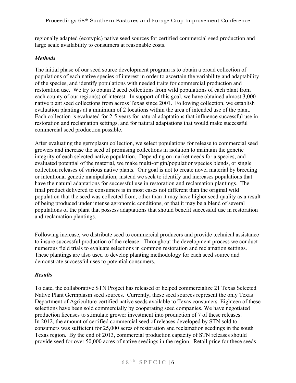regionally adapted (ecotypic) native seed sources for certified commercial seed production and large scale availability to consumers at reasonable costs.

#### *Methods*

The initial phase of our seed source development program is to obtain a broad collection of populations of each native species of interest in order to ascertain the variability and adaptability of the species, and identify populations with needed traits for commercial production and restoration use. We try to obtain 2 seed collections from wild populations of each plant from each county of our region(s) of interest. In support of this goal, we have obtained almost 3,000 native plant seed collections from across Texas since 2001. Following collection, we establish evaluation plantings at a minimum of 2 locations within the area of intended use of the plant. Each collection is evaluated for 2-5 years for natural adaptations that influence successful use in restoration and reclamation settings, and for natural adaptations that would make successful commercial seed production possible.

After evaluating the germplasm collection, we select populations for release to commercial seed growers and increase the seed of promising collections in isolation to maintain the genetic integrity of each selected native population. Depending on market needs for a species, and evaluated potential of the material, we make multi-origin/population/species blends, or single collection releases of various native plants. Our goal is not to create novel material by breeding or intentional genetic manipulation; instead we seek to identify and increases populations that have the natural adaptations for successful use in restoration and reclamation plantings. The final product delivered to consumers is in most cases not different than the original wild population that the seed was collected from, other than it may have higher seed quality as a result of being produced under intense agronomic conditions, or that it may be a blend of several populations of the plant that possess adaptations that should benefit successful use in restoration and reclamation plantings.

Following increase, we distribute seed to commercial producers and provide technical assistance to insure successful production of the release. Throughout the development process we conduct numerous field trials to evaluate selections in common restoration and reclamation settings. These plantings are also used to develop planting methodology for each seed source and demonstrate successful uses to potential consumers.

#### *Results*

To date, the collaborative STN Project has released or helped commercialize 21 Texas Selected Native Plant Germplasm seed sources. Currently, these seed sources represent the only Texas Department of Agriculture-certified native seeds available to Texas consumers. Eighteen of these selections have been sold commercially by cooperating seed companies. We have negotiated production licenses to stimulate grower investment into production of 7 of these releases. In 2012, the amount of certified commercial seed of releases developed by STN sold to consumers was sufficient for 25,000 acres of restoration and reclamation seedings in the south Texas region. By the end of 2013, commercial production capacity of STN releases should provide seed for over 50,000 acres of native seedings in the region. Retail price for these seeds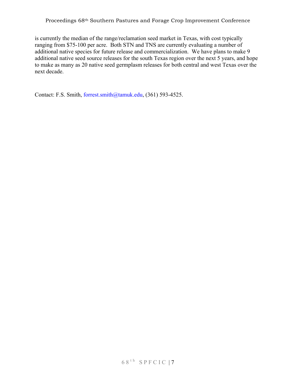is currently the median of the range/reclamation seed market in Texas, with cost typically ranging from \$75-100 per acre. Both STN and TNS are currently evaluating a number of additional native species for future release and commercialization. We have plans to make 9 additional native seed source releases for the south Texas region over the next 5 years, and hope to make as many as 20 native seed germplasm releases for both central and west Texas over the next decade.

Contact: F.S. Smith, forrest.smith@tamuk.edu, (361) 593-4525.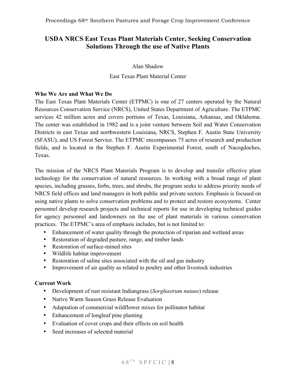## **USDA NRCS East Texas Plant Materials Center, Seeking Conservation Solutions Through the use of Native Plants**

Alan Shadow

East Texas Plant Material Center

#### **Who We Are and What We Do**

The East Texas Plant Materials Center (ETPMC) is one of 27 centers operated by the Natural Resources Conservation Service (NRCS), United States Department of Agriculture. The ETPMC services 42 million acres and covers portions of Texas, Louisiana, Arkansas, and Oklahoma. The center was established in 1982 and is a joint venture between Soil and Water Conservation Districts in east Texas and northwestern Louisiana, NRCS, Stephen F. Austin State University (SFASU), and US Forest Service. The ETPMC encompasses 75 acres of research and production fields, and is located in the Stephen F. Austin Experimental Forest, south of Nacogdoches, Texas.

The mission of the NRCS Plant Materials Program is to develop and transfer effective plant technology for the conservation of natural resources. In working with a broad range of plant species, including grasses, forbs, trees, and shrubs, the program seeks to address priority needs of NRCS field offices and land managers in both public and private sectors. Emphasis is focused on using native plants to solve conservation problems and to protect and restore ecosystems. Center personnel develop research projects and technical reports for use in developing technical guides for agency personnel and landowners on the use of plant materials in various conservation practices. The ETPMC's area of emphasis includes, but is not limited to:

- Enhancement of water quality through the protection of riparian and wetland areas
- Restoration of degraded pasture, range, and timber lands
- Restoration of surface-mined sites
- Wildlife habitat improvement
- Restoration of saline sites associated with the oil and gas industry
- Improvement of air quality as related to poultry and other livestock industries

#### **Current Work**

- Development of rust resistant Indiangrass (*Sorghastrum nutans*) release
- Native Warm Season Grass Release Evaluation
- Adaptation of commercial wildflower mixes for pollinator habitat
- Enhancement of longleaf pine planting
- Evaluation of cover crops and their effects on soil health
- Seed increases of selected material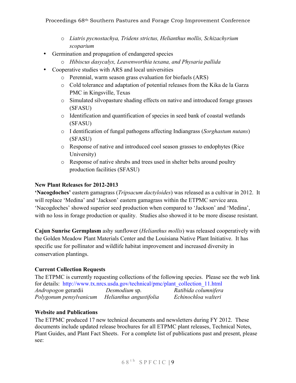- o *Liatris pycnostachya, Tridens strictus, Helianthus mollis, Schizachyrium scoparium*
- Germination and propagation of endangered species
	- o *Hibiscus dasycalyx, Leavenworthia texana, and Physaria pallida*
- Cooperative studies with ARS and local universities
	- o Perennial, warm season grass evaluation for biofuels (ARS)
	- o Cold tolerance and adaptation of potential releases from the Kika de la Garza PMC in Kingsville, Texas
	- o Simulated silvopasture shading effects on native and introduced forage grasses (SFASU)
	- o Identification and quantification of species in seed bank of coastal wetlands (SFASU)
	- o I dentification of fungal pathogens affecting Indiangrass (*Sorghastum nutans*) (SFASU)
	- o Response of native and introduced cool season grasses to endophytes (Rice University)
	- o Response of native shrubs and trees used in shelter belts around poultry production facilities (SFASU)

#### **New Plant Releases for 2012-2013**

**'Nacogdoches'** eastern gamagrass (*Tripsacum dactyloides*) was released as a cultivar in 2012. It will replace 'Medina' and 'Jackson' eastern gamagrass within the ETPMC service area. 'Nacogdoches' showed superior seed production when compared to 'Jackson' and 'Medina', with no loss in forage production or quality. Studies also showed it to be more disease resistant.

**Cajun Sunrise Germplasm** ashy sunflower (*Helianthus mollis*) was released cooperatively with the Golden Meadow Plant Materials Center and the Louisiana Native Plant Initiative. It has specific use for pollinator and wildlife habitat improvement and increased diversity in conservation plantings.

#### **Current Collection Requests**

The ETPMC is currently requesting collections of the following species. Please see the web link for details: http://www.tx.nrcs.usda.gov/technical/pmc/plant\_collection\_11.html *Andropogon* gerardii *Desmodium* sp. *Ratibida columnifera Polygonum pensylvanicum Helianthus angustifolia Echinochloa walteri*

#### **Website and Publications**

The ETPMC produced 17 new technical documents and newsletters during FY 2012. These documents include updated release brochures for all ETPMC plant releases, Technical Notes, Plant Guides, and Plant Fact Sheets. For a complete list of publications past and present, please see: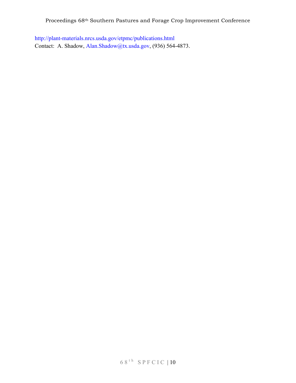http://plant-materials.nrcs.usda.gov/etpmc/publications.html Contact: A. Shadow, Alan.Shadow@tx.usda.gov, (936) 564-4873.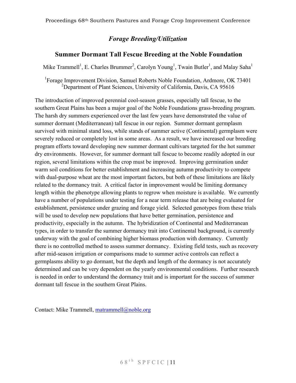## *Forage Breeding/Utilization*

#### **Summer Dormant Tall Fescue Breeding at the Noble Foundation**

Mike Trammell<sup>1</sup>, E. Charles Brummer<sup>2</sup>, Carolyn Young<sup>1</sup>, Twain Butler<sup>1</sup>, and Malay Saha<sup>1</sup>

<sup>1</sup>Forage Improvement Division, Samuel Roberts Noble Foundation, Ardmore, OK 73401 <sup>2</sup>Department of Plant Sciences, University of California, Davis, CA 95616

The introduction of improved perennial cool-season grasses, especially tall fescue, to the southern Great Plains has been a major goal of the Noble Foundations grass-breeding program. The harsh dry summers experienced over the last few years have demonstrated the value of summer dormant (Mediterranean) tall fescue in our region. Summer dormant germplasm survived with minimal stand loss, while stands of summer active (Continental) germplasm were severely reduced or completely lost in some areas. As a result, we have increased our breeding program efforts toward developing new summer dormant cultivars targeted for the hot summer dry environments. However, for summer dormant tall fescue to become readily adopted in our region, several limitations within the crop must be improved. Improving germination under warm soil conditions for better establishment and increasing autumn productivity to compete with dual-purpose wheat are the most important factors, but both of these limitations are likely related to the dormancy trait. A critical factor in improvement would be limiting dormancy length within the phenotype allowing plants to regrow when moisture is available. We currently have a number of populations under testing for a near term release that are being evaluated for establishment, persistence under grazing and forage yield. Selected genotypes from these trials will be used to develop new populations that have better germination, persistence and productivity, especially in the autumn. The hybridization of Continental and Mediterranean types, in order to transfer the summer dormancy trait into Continental background, is currently underway with the goal of combining higher biomass production with dormancy. Currently there is no controlled method to assess summer dormancy. Existing field tests, such as recovery after mid-season irrigation or comparisons made to summer active controls can reflect a germplasms ability to go dormant, but the depth and length of the dormancy is not accurately determined and can be very dependent on the yearly environmental conditions. Further research is needed in order to understand the dormancy trait and is important for the success of summer dormant tall fescue in the southern Great Plains.

Contact: Mike Trammell, matrammell@noble.org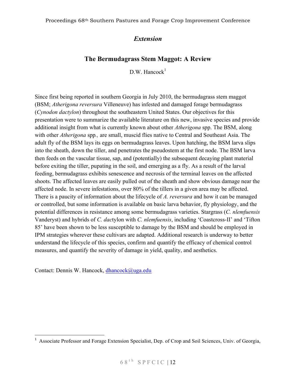## *Extension*

## **The Bermudagrass Stem Maggot: A Review**

 $D.W.$  Hancock<sup>1</sup>

Since first being reported in southern Georgia in July 2010, the bermudagrass stem maggot (BSM; *Atherigona reversura* Villeneuve) has infested and damaged forage bermudagrass (*Cynodon dactylon*) throughout the southeastern United States. Our objectives for this presentation were to summarize the available literature on this new, invasive species and provide additional insight from what is currently known about other *Atherigona* spp. The BSM, along with other *Atherigona* spp*.,* are small, muscid flies native to Central and Southeast Asia. The adult fly of the BSM lays its eggs on bermudagrass leaves. Upon hatching, the BSM larva slips into the sheath, down the tiller, and penetrates the pseudostem at the first node. The BSM larva then feeds on the vascular tissue, sap, and (potentially) the subsequent decaying plant material before exiting the tiller, pupating in the soil, and emerging as a fly. As a result of the larval feeding, bermudagrass exhibits senescence and necrosis of the terminal leaves on the affected shoots. The affected leaves are easily pulled out of the sheath and show obvious damage near the affected node. In severe infestations, over 80% of the tillers in a given area may be affected. There is a paucity of information about the lifecycle of *A. reversura* and how it can be managed or controlled, but some information is available on basic larva behavior, fly physiology, and the potential differences in resistance among some bermudagrass varieties. Stargrass (*C. nlemfuensis* Vanderyst) and hybrids of *C. dac*tylon with *C. nlemfuensis*, including 'Coastcross-II' and 'Tifton 85' have been shown to be less susceptible to damage by the BSM and should be employed in IPM strategies wherever these cultivars are adapted. Additional research is underway to better understand the lifecycle of this species, confirm and quantify the efficacy of chemical control measures, and quantify the severity of damage in yield, quality, and aesthetics.

Contact: Dennis W. Hancock, dhancock@uga.edu

<u> 1989 - Jan Stein Stein, fransk politiker (d. 1989)</u>

<sup>&</sup>lt;sup>1</sup> Associate Professor and Forage Extension Specialist, Dep. of Crop and Soil Sciences, Univ. of Georgia,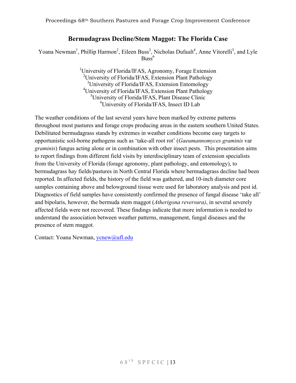### **Bermudagrass Decline/Stem Maggot: The Florida Case**

Yoana Newman<sup>1</sup>, Phillip Harmon<sup>2</sup>, Eileen Buss<sup>3</sup>, Nicholas Dufault<sup>4</sup>, Anne Vitorelli<sup>5</sup>, and Lyle  $Buss^6$ 

> <sup>1</sup>University of Florida/IFAS, Agronomy, Forage Extension <sup>2</sup> University of Florida/IFAS, Extension Plant Pathology <sup>3</sup>University of Florida/IFAS, Extension Entomology 4 University of Florida/IFAS, Extension Plant Pathology <sup>5</sup>University of Florida/IFAS, Plant Disease Clinic 6 University of Florida/IFAS, Insect ID Lab

The weather conditions of the last several years have been marked by extreme patterns throughout most pastures and forage crops producing areas in the eastern southern United States. Debilitated bermudagrass stands by extremes in weather conditions become easy targets to opportunistic soil-borne pathogens such as 'take-all root rot' (*Gaeumannomyces graminis* var *graminis*) fungus acting alone or in combination with other insect pests. This presentation aims to report findings from different field visits by interdisciplinary team of extension specialists from the University of Florida (forage agronomy, plant pathology, and entomology), to bermudagrass hay fields/pastures in North Central Florida where bermudagrass decline had been reported. In affected fields, the history of the field was gathered, and 10-inch diameter core samples containing above and belowground tissue were used for laboratory analysis and pest id. Diagnostics of field samples have consistently confirmed the presence of fungal disease 'take all' and bipolaris, however, the bermuda stem maggot (*Atherigona reversura)*, in several severely affected fields were not recovered. These findings indicate that more information is needed to understand the association between weather patterns, management, fungal diseases and the presence of stem maggot.

Contact: Yoana Newman, ycnew@ufl.edu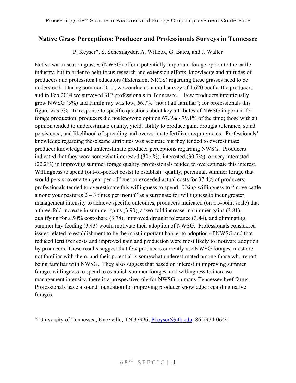## **Native Grass Perceptions: Producer and Professionals Surveys in Tennessee**

P. Keyser\*, S. Schexnayder, A. Willcox, G. Bates, and J. Waller

Native warm-season grasses (NWSG) offer a potentially important forage option to the cattle industry, but in order to help focus research and extension efforts, knowledge and attitudes of producers and professional educators (Extension, NRCS) regarding these grasses need to be understood. During summer 2011, we conducted a mail survey of 1,620 beef cattle producers and in Feb 2014 we surveyed 312 professionals in Tennessee. Few producers intentionally grew NWSG (5%) and familiarity was low, 66.7% "not at all familiar"; for professionals this figure was 5%. In response to specific questions about key attributes of NWSG important for forage production, producers did not know/no opinion 67.3% - 79.1% of the time; those with an opinion tended to underestimate quality, yield, ability to produce gain, drought tolerance, stand persistence, and likelihood of spreading and overestimate fertilizer requirements. Professionals' knowledge regarding these same attributes was accurate but they tended to overestimate producer knowledge and underestimate producer perceptions regarding NWSG. Producers indicated that they were somewhat interested (30.4%), interested (30.7%), or very interested (22.2%) in improving summer forage quality; professionals tended to overestimate this interest. Willingness to spend (out-of-pocket costs) to establish "quality, perennial, summer forage that would persist over a ten-year period" met or exceeded actual costs for 37.4% of producers; professionals tended to overestimate this willingness to spend. Using willingness to "move cattle among your pastures  $2 - 3$  times per month" as a surrogate for willingness to incur greater management intensity to achieve specific outcomes, producers indicated (on a 5-point scale) that a three-fold increase in summer gains (3.90), a two-fold increase in summer gains (3.81), qualifying for a 50% cost-share (3.78), improved drought tolerance (3.44), and eliminating summer hay feeding (3.43) would motivate their adoption of NWSG. Professionals considered issues related to establishment to be the most important barrier to adoption of NWSG and that reduced fertilizer costs and improved gain and production were most likely to motivate adoption by producers. These results suggest that few producers currently use NWSG forages, most are not familiar with them, and their potential is somewhat underestimated among those who report being familiar with NWSG. They also suggest that based on interest in improving summer forage, willingness to spend to establish summer forages, and willingness to increase management intensity, there is a prospective role for NWSG on many Tennessee beef farms. Professionals have a sound foundation for improving producer knowledge regarding native forages.

\* University of Tennessee, Knoxville, TN 37996; Pkeyser@utk.edu; 865/974-0644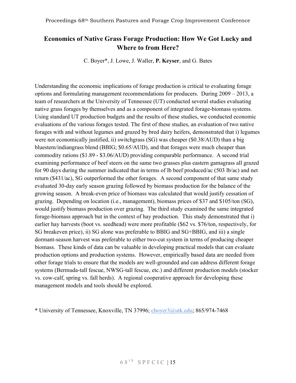## **Economics of Native Grass Forage Production: How We Got Lucky and Where to from Here?**

C. Boyer\*, J. Lowe, J. Waller, **P. Keyser**, and G. Bates

Understanding the economic implications of forage production is critical to evaluating forage options and formulating management recommendations for producers. During 2009 – 2013, a team of researchers at the University of Tennessee (UT) conducted several studies evaluating native grass forages by themselves and as a component of integrated forage-biomass systems. Using standard UT production budgets and the results of these studies, we conducted economic evaluations of the various forages tested. The first of these studies, an evaluation of two native forages with and without legumes and grazed by bred dairy heifers, demonstrated that i) legumes were not economically justified, ii) switchgrass (SG) was cheaper (\$0.38/AUD) than a big bluestem/indiangrass blend (BBIG; \$0.65/AUD), and that forages were much cheaper than commodity rations (\$1.89 - \$3.06/AUD) providing comparable performance. A second trial examining performance of beef steers on the same two grasses plus eastern gamagrass all grazed for 90 days during the summer indicated that in terms of lb beef produced/ac (503 lb/ac) and net return (\$431/ac), SG outperformed the other forages. A second component of that same study evaluated 30-day early season grazing followed by biomass production for the balance of the growing season. A break-even price of biomass was calculated that would justify cessation of grazing. Depending on location (i.e., management), biomass prices of \$37 and \$105/ton (SG), would justify biomass production over grazing. The third study examined the same integrated forage-biomass approach but in the context of hay production. This study demonstrated that i) earlier hay harvests (boot vs. seedhead) were more profitable (\$62 vs. \$76/ton, respectively, for SG breakeven price), ii) SG alone was preferable to BBIG and SG+BBIG, and iii) a single dormant-season harvest was preferable to either two-cut system in terms of producing cheaper biomass. These kinds of data can be valuable in developing practical models that can evaluate production options and production systems. However, empirically based data are needed from other forage trials to ensure that the models are well-grounded and can address different forage systems (Bermuda-tall fescue, NWSG-tall fescue, etc.) and different production models (stocker vs. cow-calf, spring vs. fall herds). A regional cooperative approach for developing these management models and tools should be explored.

\* University of Tennessee, Knoxville, TN 37996; cboyer3@utk.edu; 865/974-7468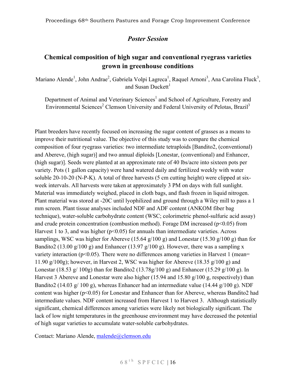## *Poster Session*

## **Chemical composition of high sugar and conventional ryegrass varieties grown in greenhouse conditions**

Mariano Alende<sup>1</sup>, John Andrae<sup>2</sup>, Gabriela Volpi Lagreca<sup>1</sup>, Raquel Arnoni<sup>3</sup>, Ana Carolina Fluck<sup>3</sup>, and Susan Duckett $<sup>1</sup>$ </sup>

Department of Animal and Veterinary Sciences<sup>1</sup> and School of Agriculture, Forestry and Environmental Sciences<sup>2</sup> Clemson University and Federal University of Pelotas, Brazil<sup>3</sup>

Plant breeders have recently focused on increasing the sugar content of grasses as a means to improve their nutritional value. The objective of this study was to compare the chemical composition of four ryegrass varieties: two intermediate tetraploids [Bandito2, (conventional) and Abereve, (high sugar)] and two annual diploids [Lonestar, (conventional) and Enhancer, (high sugar)]. Seeds were planted at an approximate rate of 40 lbs/acre into sixteen pots per variety. Pots (1 gallon capacity) were hand watered daily and fertilized weekly with water soluble 20-10-20 (N-P-K). A total of three harvests (5 cm cutting height) were clipped at sixweek intervals. All harvests were taken at approximately 3 PM on days with full sunlight. Material was immediately weighed, placed in cloth bags, and flash frozen in liquid nitrogen. Plant material was stored at -20C until lyophilized and ground through a Wiley mill to pass a 1 mm screen. Plant tissue analyses included NDF and ADF content (ANKOM fiber bag technique), water-soluble carbohydrate content (WSC; colorimetric phenol-sulfuric acid assay) and crude protein concentration (combustion method). Forage DM increased ( $p<0.05$ ) from Harvest 1 to 3, and was higher ( $p<0.05$ ) for annuals than intermediate varieties. Across samplings, WSC was higher for Abereve (15.64 g/100 g) and Lonestar (15.30 g/100 g) than for Bandito2 (13.00 g/100 g) and Enhancer (13.97 g/100 g). However, there was a sampling x variety interaction ( $p<0.05$ ). There were no differences among varieties in Harvest 1 (mean= 11.90 g/100g); however, in Harvest 2, WSC was higher for Abereve (18.35 g/100 g) and Lonestar (18.53 g/ 100g) than for Bandito2 (13.78g/100 g) and Enhancer (15.29 g/100 g). In Harvest 3 Abereve and Lonestar were also higher (15.94 and 15.80 g/100 g, respectively) than Bandito2 (14.03 g/ 100 g), whereas Enhancer had an intermediate value (14.44 g/100 g). NDF content was higher (p<0.05) for Lonestar and Enhancer than for Abereve, whereas Bandito2 had intermediate values. NDF content increased from Harvest 1 to Harvest 3. Although statistically significant, chemical differences among varieties were likely not biologically significant. The lack of low night temperatures in the greenhouse environment may have decreased the potential of high sugar varieties to accumulate water-soluble carbohydrates.

Contact: Mariano Alende, malende@clemson.edu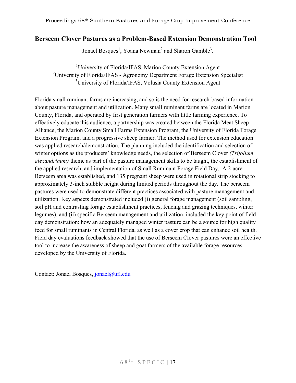#### **Berseem Clover Pastures as a Problem-Based Extension Demonstration Tool**

Jonael Bosques<sup>1</sup>, Yoana Newman<sup>2</sup> and Sharon Gamble<sup>3</sup>.

<sup>1</sup>University of Florida/IFAS, Marion County Extension Agent <sup>2</sup> University of Florida/IFAS - Agronomy Department Forage Extension Specialist <sup>3</sup>University of Florida/IFAS, Volusia County Extension Agent

Florida small ruminant farms are increasing, and so is the need for research-based information about pasture management and utilization. Many small ruminant farms are located in Marion County, Florida, and operated by first generation farmers with little farming experience. To effectively educate this audience, a partnership was created between the Florida Meat Sheep Alliance, the Marion County Small Farms Extension Program, the University of Florida Forage Extension Program, and a progressive sheep farmer. The method used for extension education was applied research/demonstration. The planning included the identification and selection of winter options as the producers' knowledge needs, the selection of Berseem Clover *(Trifolium alexandrinum)* theme as part of the pasture management skills to be taught, the establishment of the applied research, and implementation of Small Ruminant Forage Field Day. A 2-acre Berseem area was established, and 135 pregnant sheep were used in rotational strip stocking to approximately 3-inch stubble height during limited periods throughout the day. The berseem pastures were used to demonstrate different practices associated with pasture management and utilization. Key aspects demonstrated included (i) general forage management (soil sampling, soil pH and contrasting forage establishment practices, fencing and grazing techniques, winter legumes), and (ii) specific Berseem management and utilization, included the key point of field day demonstration: how an adequately managed winter pasture can be a source for high quality feed for small ruminants in Central Florida, as well as a cover crop that can enhance soil health. Field day evaluations feedback showed that the use of Berseem Clover pastures were an effective tool to increase the awareness of sheep and goat farmers of the available forage resources developed by the University of Florida.

Contact: Jonael Bosques, jonael@ufl.edu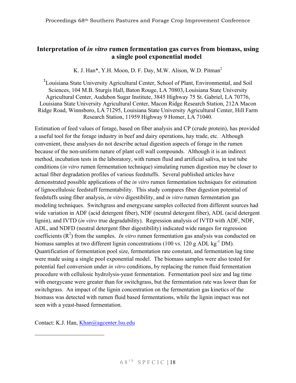## **Interpretation of** *in vitro* **rumen fermentation gas curves from biomass, using a single pool exponential model**

K. J. Han<sup>\*</sup>, Y.H. Moon, D. F. Day, M.W. Alison, W.D. Pitman<sup>2</sup>

<sup>1</sup>Louisiana State University Agricultural Center, School of Plant, Environmental, and Soil Sciences, 104 M.B. Sturgis Hall, Baton Rouge, LA 70803, Louisiana State University Agricultural Center, Audubon Sugar Institute, 3845 Highway 75 St. Gabriel, LA 70776, Louisiana State University Agricultural Center, Macon Ridge Research Station, 212A Macon Ridge Road, Winnsboro, LA 71295, Louisiana State University Agricultural Center, Hill Farm Research Station, 11959 Highway 9 Homer, LA 71040.

Estimation of feed values of forage, based on fiber analysis and CP (crude protein), has provided a useful tool for the forage industry in beef and dairy operations, hay trade, etc. Although convenient, these analyses do not describe actual digestion aspects of forage in the rumen because of the non-uniform nature of plant cell wall compounds. Although it is an indirect method, incubation tests in the laboratory, with rumen fluid and artificial saliva, in test tube conditions (*in vitro* rumen fermentation technique) simulating rumen digestion may be closer to actual fiber degradation profiles of various feedstuffs. Several published articles have demonstrated possible applications of the *in vitro* rumen fermentation techniques for estimation of lignocellulosic feedstuff fermentability. This study compares fiber digestion potential of feedstuffs using fiber analysis, *in vitro* digestibility, and *in vitro* rumen fermentation gas modeling techniques. Switchgrass and energycane samples collected from different sources had wide variation in ADF (acid detergent fiber), NDF (neutral detergent fiber), ADL (acid detergent lignin), and IVTD (*in vitro* true degradability). Regression analysis of IVTD with ADF, NDF, ADL, and NDFD (neutral detergent fiber digestibility) indicated wide ranges for regression coefficients  $(R^2)$  from the samples. *In vitro* rumen fermentation gas analysis was conducted on biomass samples at two different lignin concentrations (100 vs. 120 g ADL kg<sup>-1</sup> DM). Quantification of fermentation pool size, fermentation rate constant, and fermentation lag time were made using a single pool exponential model. The biomass samples were also tested for potential fuel conversion under *in vitro* conditions, by replacing the rumen fluid fermentation procedure with cellulosic hydrolysis-yeast fermentation. Fermentation pool size and lag time with energycane were greater than for switchgrass, but the fermentation rate was lower than for switchgrass. An impact of the lignin concentration on the fermentation gas kinetics of the biomass was detected with rumen fluid based fermentations, while the lignin impact was not seen with a yeast-based fermentation.

Contact: K.J. Han, Khan@agcenter.lsu.edu

<u> 1989 - Jan Stein Stein, fransk politiker (d. 1989)</u>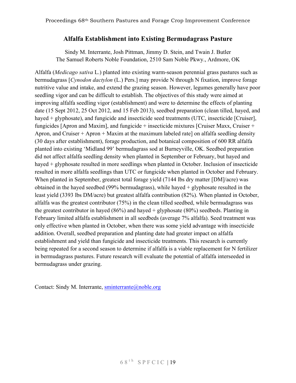### **Alfalfa Establishment into Existing Bermudagrass Pasture**

Sindy M. Interrante, Josh Pittman, Jimmy D. Stein, and Twain J. Butler The Samuel Roberts Noble Foundation, 2510 Sam Noble Pkwy., Ardmore, OK

Alfalfa (*Medicago sativa* L.) planted into existing warm-season perennial grass pastures such as bermudagrass [*Cynodon dactylon* (L.) Pers.] may provide N through N fixation, improve forage nutritive value and intake, and extend the grazing season. However, legumes generally have poor seedling vigor and can be difficult to establish. The objectives of this study were aimed at improving alfalfa seedling vigor (establishment) and were to determine the effects of planting date (15 Sept 2012, 25 Oct 2012, and 15 Feb 2013), seedbed preparation (clean tilled, hayed, and hayed + glyphosate), and fungicide and insecticide seed treatments (UTC, insecticide [Cruiser], fungicides [Apron and Maxim], and fungicide + insecticide mixtures [Cruiser Maxx, Cruiser + Apron, and Cruiser + Apron + Maxim at the maximum labeled rate] on alfalfa seedling density (30 days after establishment), forage production, and botanical composition of 600 RR alfalfa planted into existing 'Midland 99' bermudagrass sod at Burneyville, OK. Seedbed preparation did not affect alfalfa seedling density when planted in September or February, but hayed and hayed + glyphosate resulted in more seedlings when planted in October. Inclusion of insecticide resulted in more alfalfa seedlings than UTC or fungicide when planted in October and February. When planted in September, greatest total forage yield (7144 lbs dry matter [DM]/acre) was obtained in the hayed seedbed (99% bermudagrass), while hayed + glyphosate resulted in the least yield (3393 lbs DM/acre) but greatest alfalfa contribution (82%). When planted in October, alfalfa was the greatest contributor (75%) in the clean tilled seedbed, while bermudagrass was the greatest contributor in hayed  $(86\%)$  and hayed + glyphosate  $(80\%)$  seedbeds. Planting in February limited alfalfa establishment in all seedbeds (average 7% alfalfa). Seed treatment was only effective when planted in October, when there was some yield advantage with insecticide addition. Overall, seedbed preparation and planting date had greater impact on alfalfa establishment and yield than fungicide and insecticide treatments. This research is currently being repeated for a second season to determine if alfalfa is a viable replacement for N fertilizer in bermudagrass pastures. Future research will evaluate the potential of alfalfa interseeded in bermudagrass under grazing.

Contact: Sindy M. Interrante, sminterrante@noble.org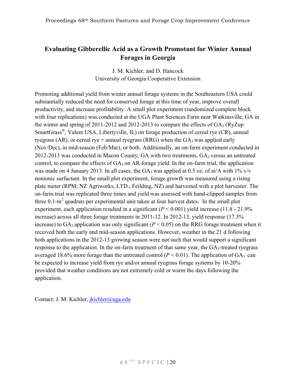## **Evaluating Gibberellic Acid as a Growth Promotant for Winter Annual Forages in Georgia**

J. M. Kichler, and D. Hancock University of Georgia Cooperative Extension

Promoting additional yield from winter annual forage systems in the Southeastern USA could substantially reduced the need for conserved forage at this time of year, improve overall productivity, and increase profitability. A small plot experiment (randomized complete block with four replications) was conducted at the UGA Plant Sciences Farm near Watkinsville, GA in the winter and spring of 2011-2012 and 2012-2013 to compare the effects of  $GA_3$  (RyZup SmartGrass®, Valent USA, Libertyville, IL) on forage production of cereal rye (CR), annual ryegrass (AR), or cereal rye + annual ryegrass (RRG) when the  $GA_3$  was applied early (Nov/Dec), in mid-season (Feb/Mar), or both. Additionally, an on-farm experiment conducted in 2012-2013 was conducted in Macon County, GA with two treatments, GA3 versus an untreated control, to compare the effects of  $GA_3$  on AR forage yield. In the on-farm trial, the application was made on 4 January 2013. In all cases, the  $GA_3$  was applied at 0.5 oz. of ai/A with 1% v/v nonionic surfactant. In the small plot experiment, forage growth was measured using a rising plate meter (RPM; NZ Agriworks, LTD.; Feilding, NZ) and harvested with a plot harvester. The on-farm trial was replicated three times and yield was assessed with hand-clipped samples from three  $0.1$ -m<sup>2</sup> quadrats per experimental unit taken at four harvest dates. In the small plot experiment, each application resulted in a significant  $(P < 0.001)$  yield increase (11.8 - 21.9%) increase) across all three forage treatments in 2011-12. In 2012-13, yield response (17.3% increase) to  $GA_3$  application was only significant ( $P < 0.05$ ) on the RRG forage treatment when it received both the early and mid-season applications. However, weather in the 21 d following both applications in the 2012-13 growing season were not such that would support a significant response to the application. In the on-farm treatment of that same year, the GA<sub>3</sub>-treated ryegrass averaged 18.6% more forage than the untreated control  $(P < 0.01)$ . The application of GA<sub>3</sub> can be expected to increase yield from rye and/or annual ryegrass forage systems by 10-20% provided that weather conditions are not extremely cold or warm the days following the application.

Contact: J. M. Kichler, *ikichler@uga.edu*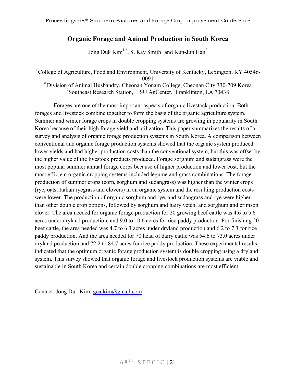## **Organic Forage and Animal Production in South Korea**

Jong Duk Kim<sup>1,#</sup>, S. Ray Smith<sup>1</sup> and Kun-Jun Han<sup>2</sup>

<sup>1</sup> College of Agriculture, Food and Environment, University of Kentucky, Lexington, KY 40546-0091

# Division of Animal Husbandry, Cheonan Yonam College, Cheonan City 330-709 Korea 2 Southeast Research Station, LSU AgCenter, Franklinton, LA 70438

Forages are one of the most important aspects of organic livestock production. Both forages and livestock combine together to form the basis of the organic agriculture system. Summer and winter forage crops in double cropping systems are growing in popularity in South Korea because of their high forage yield and utilization. This paper summarizes the results of a survey and analysis of organic forage production systems in South Korea. A comparison between conventional and organic forage production systems showed that the organic system produced lower yields and had higher production costs than the conventional system, but this was offset by the higher value of the livestock products produced. Forage sorghum and sudangrass were the most popular summer annual forage corps because of higher production and lower cost, but the most efficient organic cropping systems included legume and grass combinations. The forage production of summer crops (corn, sorghum and sudangrass) was higher than the winter crops (rye, oats, Italian ryegrass and clovers) in an organic system and the resulting production costs were lower. The production of organic sorghum and rye, and sudangrass and rye were higher than other double crop options, followed by sorghum and hairy vetch, and sorghum and crimson clover. The area needed for organic forage production for 20 growing beef cattle was 4.6 to 5.6 acres under dryland production, and 9.0 to 10.6 acres for rice paddy production. For finishing 20 beef cattle, the area needed was 4.7 to 6.3 acres under dryland production and 6.2 to 7.3 for rice paddy production. And the area needed for 70 head of dairy cattle was 54.6 to 73.0 acres under dryland production and 72.2 to 84.7 acres for rice paddy production. These experimental results indicated that the optimum organic forage production system is double cropping using a dryland system. This survey showed that organic forage and livestock production systems are viable and sustainable in South Korea and certain double cropping combinations are most efficient.

Contact: Jong Duk Kim, goatkim@gmail.com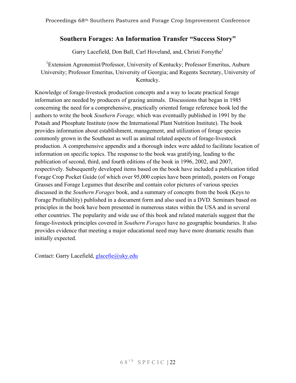## **Southern Forages: An Information Transfer "Success Story"**

Garry Lacefield, Don Ball, Carl Hoveland, and, Christi Forsythe<sup>1</sup>

<sup>1</sup>Extension Agronomist/Professor, University of Kentucky; Professor Emeritus, Auburn University; Professor Emeritus, University of Georgia; and Regents Secretary, University of Kentucky.

Knowledge of forage-livestock production concepts and a way to locate practical forage information are needed by producers of grazing animals. Discussions that began in 1985 concerning the need for a comprehensive, practically oriented forage reference book led the authors to write the book *Southern Forage,* which was eventually published in 1991 by the Potash and Phosphate Institute (now the International Plant Nutrition Institute). The book provides information about establishment, management, and utilization of forage species commonly grown in the Southeast as well as animal related aspects of forage-livestock production. A comprehensive appendix and a thorough index were added to facilitate location of information on specific topics. The response to the book was gratifying, leading to the publication of second, third, and fourth editions of the book in 1996, 2002, and 2007, respectively. Subsequently developed items based on the book have included a publication titled Forage Crop Pocket Guide (of which over 95,000 copies have been printed), posters on Forage Grasses and Forage Legumes that describe and contain color pictures of various species discussed in the *Southern Forages* book, and a summary of concepts from the book (Keys to Forage Profitability) published in a document form and also used in a DVD. Seminars based on principles in the book have been presented in numerous states within the USA and in several other countries. The popularity and wide use of this book and related materials suggest that the forage-livestock principles covered in *Southern Forages* have no geographic boundaries. It also provides evidence that meeting a major educational need may have more dramatic results than initially expected.

Contact: Garry Lacefield, glacefie@uky.edu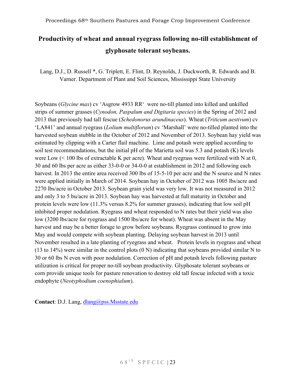## **Productivity of wheat and annual ryegrass following no-till establishment of glyphosate tolerant soybeans.**

Lang, D.J., D. Russell \*, G. Triplett, E. Flint, D. Reynolds, J. Duckworth, R. Edwards and B. Varner. Department of Plant and Soil Sciences, Mississippi State University

Soybeans (*Glycine max*) cv 'Asgrow 4933 RR' were no-till planted into killed and unkilled strips of summer grasses (*Cynodon, Paspalum and Digitaria species*) in the Spring of 2012 and 2013 that previously had tall fescue (*Schedonorus arundinaceus*). Wheat (*Triticum aestivum*) cv 'LA841' and annual ryegrass (*Lolium multiflorum*) cv 'Marshall' were no-tilled planted into the harvested soybean stubble in the October of 2012 and November of 2013. Soybean hay yield was estimated by clipping with a Carter flail machine. Lime and potash were applied according to soil test recommendations, but the initial pH of the Marietta soil was 5.3 and potash (K) levels were Low (< 100 lbs of extractable K per acre). Wheat and ryegrass were fertilized with N at 0, 30 and 60 lbs per acre as either 33-0-0 or 34-0-0 at establishment in 2012 and following each harvest. In 2013 the entire area received 300 lbs of 15-5-10 per acre and the N source and N rates were applied initially in March of 2014. Soybean hay in October of 2012 was 1005 lbs/acre and 2270 lbs/acre in October 2013. Soybean grain yield was very low. It was not measured in 2012 and only 3 to 5 bu/acre in 2013. Soybean hay was harvested at full maturity in October and protein levels were low (11.3% versus 8.2% for summer grasses), indicating that low soil pH inhibited proper nodulation. Ryegrass and wheat responded to N rates but their yield was also low (3200 lbs/acre for ryegrass and 1500 lbs/acre for wheat). Wheat was absent in the May harvest and may be a better forage to grow before soybeans. Ryegrass continued to grow into May and would compete with soybean planting. Delaying soybean harvest in 2013 until November resulted in a late planting of ryegrass and wheat. Protein levels in ryegrass and wheat (13 to 14%) were similar in the control plots  $(0 \text{ N})$  indicating that soybeans provided similar N to 30 or 60 lbs N even with poor nodulation. Correction of pH and potash levels following pasture utilization is critical for proper no-till soybean productivity. Glyphosate tolerant soybeans or corn provide unique tools for pasture renovation to destroy old tall fescue infected with a toxic endophyte (*Neotyphodium coenophialum*).

**Contact**: D.J. Lang, dlang@pss.Msstate.edu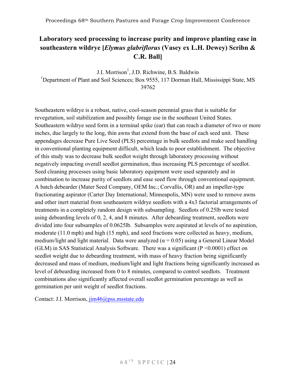## **Laboratory seed processing to increase purity and improve planting ease in southeastern wildrye [***Elymus glabriflorus* **(Vasey ex L.H. Dewey) Scribn & C.R. Ball]**

J.I. Morrison<sup>1</sup>, J.D. Richwine, B.S. Baldwin <sup>1</sup>Department of Plant and Soil Sciences; Box 9555, 117 Dorman Hall, Mississippi State, MS 39762

Southeastern wildrye is a robust, native, cool-season perennial grass that is suitable for revegetation, soil stabilization and possibly forage use in the southeast United States. Southeastern wildrye seed form in a terminal spike (ear) that can reach a diameter of two or more inches, due largely to the long, thin awns that extend from the base of each seed unit. These appendages decrease Pure Live Seed (PLS) percentage in bulk seedlots and make seed handling in conventional planting equipment difficult, which leads to poor establishment. The objective of this study was to decrease bulk seedlot weight through laboratory processing without negatively impacting overall seedlot germination, thus increasing PLS percentage of seedlot. Seed cleaning processes using basic laboratory equipment were used separately and in combination to increase purity of seedlots and ease seed flow through conventional equipment. A batch debearder (Mater Seed Company, OEM Inc.; Corvallis, OR) and an impeller-type fractionating aspirator (Carter Day International; Minneapolis, MN) were used to remove awns and other inert material from southeastern wildrye seedlots with a 4x3 factorial arrangements of treatments in a completely random design with subsampling. Seedlots of 0.25lb were tested using debearding levels of 0, 2, 4, and 8 minutes. After debearding treatment, seedlots were divided into four subsamples of 0.0625lb. Subsamples were aspirated at levels of no aspiration, moderate (11.0 mph) and high (15 mph), and seed fractions were collected as heavy, medium, medium/light and light material. Data were analyzed ( $\alpha$  = 0.05) using a General Linear Model (GLM) in SAS Statistical Analysis Software. There was a significant ( $P \le 0.0001$ ) effect on seedlot weight due to debearding treatment, with mass of heavy fraction being significantly decreased and mass of medium, medium/light and light fractions being significantly increased as level of debearding increased from 0 to 8 minutes, compared to control seedlots. Treatment combinations also significantly affected overall seedlot germination percentage as well as germination per unit weight of seedlot fractions.

Contact: J.I. Morrison, jim46@pss.msstate.edu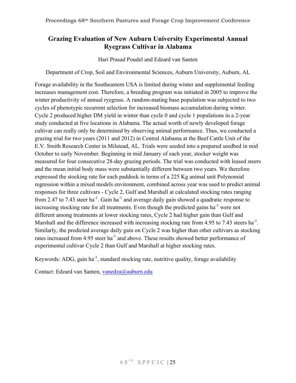## **Grazing Evaluation of New Auburn University Experimental Annual Ryegrass Cultivar in Alabama**

Hari Prasad Poudel and Edzard van Santen

Department of Crop, Soil and Environmental Sciences, Auburn University, Auburn, AL

Forage availability in the Southeastern USA is limited during winter and supplemental feeding increases management cost. Therefore, a breeding program was initiated in 2005 to improve the winter productivity of annual ryegrass. A random-mating base population was subjected to two cycles of phenotypic recurrent selection for increased biomass accumulation during winter. Cycle 2 produced higher DM yield in winter than cycle 0 and cycle 1 populations in a 2-year study conducted at five locations in Alabama. The actual worth of newly developed forage cultivar can really only be determined by observing animal performance. Thus, we conducted a grazing trial for two years (2011 and 2012) in Central Alabama at the Beef Cattle Unit of the E.V. Smith Research Center in Milstead, AL. Trials were seeded into a prepared seedbed in mid October to early November. Beginning in mid January of each year, stocker weight was measured for four consecutive 28-day grazing periods. The trial was conducted with leased steers and the mean initial body mass were substantially different between two years. We therefore expressed the stocking rate for each paddock in terms of a 225 Kg animal unit Polynomial regression within a mixed models environment, combined across year was used to predict animal responses for three cultivars - Cycle 2, Gulf and Marshall at calculated stocking rates ranging from 2.47 to 7.43 steer ha<sup>-1</sup>. Gain ha<sup>-1</sup> and average daily gain showed a quadratic response to increasing stocking rate for all treatments. Even though the predicted gains  $ha^{-1}$  were not different among treatments at lower stocking rates, Cycle 2 had higher gain than Gulf and Marshall and the difference increased with increasing stocking rate from 4.95 to 7.43 steers ha<sup>-1</sup>. Similarly, the predicted average daily gain on Cycle 2 was higher than other cultivars as stocking rates increased from 4.95 steer ha<sup>-1</sup> and above. These results showed better performance of experimental cultivar Cycle 2 than Gulf and Marshall at higher stocking rates.

Keywords: ADG, gain ha<sup>-1</sup>, standard stocking rate, nutritive quality, forage availability

Contact: Edzard van Santen, vanedza@auburn.edu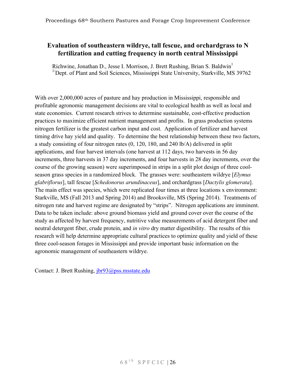## **Evaluation of southeastern wildrye, tall fescue, and orchardgrass to N fertilization and cutting frequency in north central Mississippi**

Richwine, Jonathan D., Jesse I. Morrison, J. Brett Rushing, Brian S. Baldwin<sup>1</sup>  $1/D$ ept. of Plant and Soil Sciences, Mississippi State University, Starkville, MS 39762

With over 2,000,000 acres of pasture and hay production in Mississippi, responsible and profitable agronomic management decisions are vital to ecological health as well as local and state economies. Current research strives to determine sustainable, cost-effective production practices to maximize efficient nutrient management and profits. In grass production systems nitrogen fertilizer is the greatest carbon input and cost. Application of fertilizer and harvest timing drive hay yield and quality. To determine the best relationship between these two factors, a study consisting of four nitrogen rates (0, 120, 180, and 240 lb/A) delivered in split applications, and four harvest intervals (one harvest at 112 days, two harvests in 56 day increments, three harvests in 37 day increments, and four harvests in 28 day increments, over the course of the growing season) were superimposed in strips in a split plot design of three coolseason grass species in a randomized block. The grasses were: southeastern wildrye [*Elymus glabriflorus*], tall fescue [*Schedonorus arundinaceus*], and orchardgrass [*Dactylis glomerata*]. The main effect was species, which were replicated four times at three locations x environment: Starkville, MS (Fall 2013 and Spring 2014) and Brooksville, MS (Spring 2014). Treatments of nitrogen rate and harvest regime are designated by "strips". Nitrogen applications are imminent. Data to be taken include: above ground biomass yield and ground cover over the course of the study as affected by harvest frequency, nutritive value measurements of acid detergent fiber and neutral detergent fiber, crude protein, and *in vitro* dry matter digestibility. The results of this research will help determine appropriate cultural practices to optimize quality and yield of these three cool-season forages in Mississippi and provide important basic information on the agronomic management of southeastern wildrye.

Contact: J. Brett Rushing, jbr93@pss.msstate.edu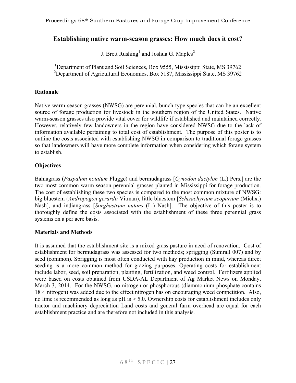#### **Establishing native warm-season grasses: How much does it cost?**

J. Brett Rushing<sup>1</sup> and Joshua G. Maples<sup>2</sup>

<sup>1</sup>Department of Plant and Soil Sciences, Box 9555, Mississippi State, MS 39762 <sup>2</sup>Department of Agricultural Economics, Box 5187, Mississippi State, MS 39762

#### **Rationale**

Native warm-season grasses (NWSG) are perennial, bunch-type species that can be an excellent source of forage production for livestock in the southern region of the United States. Native warm-season grasses also provide vital cover for wildlife if established and maintained correctly. However, relatively few landowners in the region have considered NWSG due to the lack of information available pertaining to total cost of establishment. The purpose of this poster is to outline the costs associated with establishing NWSG in comparison to traditional forage grasses so that landowners will have more complete information when considering which forage system to establish.

#### **Objectives**

Bahiagrass (*Paspalum notatum* Flugge) and bermudagrass [*Cynodon dactylon* (L.) Pers.] are the two most common warm-season perennial grasses planted in Mississippi for forage production. The cost of establishing these two species is compared to the most common mixture of NWSG: big bluestem (*Andropogon gerardii* Vitman), little bluestem [*Schizachyrium scoparium* (Michx.) Nash], and indiangrass [*Sorghastrum nutans* (L.) Nash]. The objective of this poster is to thoroughly define the costs associated with the establishment of these three perennial grass systems on a per acre basis.

#### **Materials and Methods**

It is assumed that the establishment site is a mixed grass pasture in need of renovation. Cost of establishment for bermudagrass was assessed for two methods; sprigging (Sumrall 007) and by seed (common). Sprigging is most often conducted with hay production in mind, whereas direct seeding is a more common method for grazing purposes. Operating costs for establishment include labor, seed, soil preparation, planting, fertilization, and weed control. Fertilizers applied were based on costs obtained from USDA-AL Department of Ag Market News on Monday, March 3, 2014. For the NWSG, no nitrogen or phosphorous (diammonium phosphate contains 18% nitrogen) was added due to the effect nitrogen has on encouraging weed competition. Also, no lime is recommended as long as pH is > 5.0. Ownership costs for establishment includes only tractor and machinery depreciation Land costs and general farm overhead are equal for each establishment practice and are therefore not included in this analysis.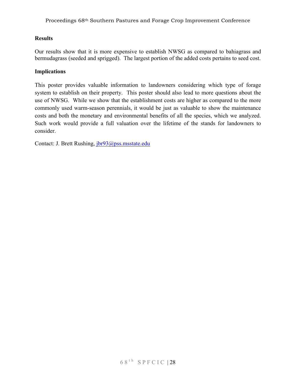#### **Results**

Our results show that it is more expensive to establish NWSG as compared to bahiagrass and bermudagrass (seeded and sprigged). The largest portion of the added costs pertains to seed cost.

#### **Implications**

This poster provides valuable information to landowners considering which type of forage system to establish on their property. This poster should also lead to more questions about the use of NWSG. While we show that the establishment costs are higher as compared to the more commonly used warm-season perennials, it would be just as valuable to show the maintenance costs and both the monetary and environmental benefits of all the species, which we analyzed. Such work would provide a full valuation over the lifetime of the stands for landowners to consider.

Contact: J. Brett Rushing, jbr93@pss.msstate.edu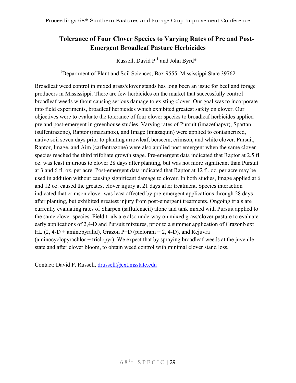## **Tolerance of Four Clover Species to Varying Rates of Pre and Post-Emergent Broadleaf Pasture Herbicides**

Russell, David P.<sup>1</sup> and John Byrd\*

<sup>1</sup>Department of Plant and Soil Sciences, Box 9555, Mississippi State 39762

Broadleaf weed control in mixed grass/clover stands has long been an issue for beef and forage producers in Mississippi. There are few herbicides on the market that successfully control broadleaf weeds without causing serious damage to existing clover. Our goal was to incorporate into field experiments, broadleaf herbicides which exhibited greatest safety on clover. Our objectives were to evaluate the tolerance of four clover species to broadleaf herbicides applied pre and post-emergent in greenhouse studies. Varying rates of Pursuit (imazethapyr), Spartan (sulfentrazone), Raptor (imazamox), and Image (imazaquin) were applied to containerized, native soil seven days prior to planting arrowleaf, berseem, crimson, and white clover. Pursuit, Raptor, Image, and Aim (carfentrazone) were also applied post emergent when the same clover species reached the third trifoliate growth stage. Pre-emergent data indicated that Raptor at 2.5 fl. oz. was least injurious to clover 28 days after planting, but was not more significant than Pursuit at 3 and 6 fl. oz. per acre. Post-emergent data indicated that Raptor at 12 fl. oz. per acre may be used in addition without causing significant damage to clover. In both studies, Image applied at 6 and 12 oz. caused the greatest clover injury at 21 days after treatment. Species interaction indicated that crimson clover was least affected by pre-emergent applications through 28 days after planting, but exhibited greatest injury from post-emergent treatments. Ongoing trials are currently evaluating rates of Sharpen (saflufenacil) alone and tank mixed with Pursuit applied to the same clover species. Field trials are also underway on mixed grass/clover pasture to evaluate early applications of 2,4-D and Pursuit mixtures, prior to a summer application of GrazonNext HL (2, 4-D + aminopyralid), Grazon P+D (picloram  $+$  2, 4-D), and Rejuvra (aminocyclopyrachlor + triclopyr). We expect that by spraying broadleaf weeds at the juvenile state and after clover bloom, to obtain weed control with minimal clover stand loss.

Contact: David P. Russell, drussell@ext.msstate.edu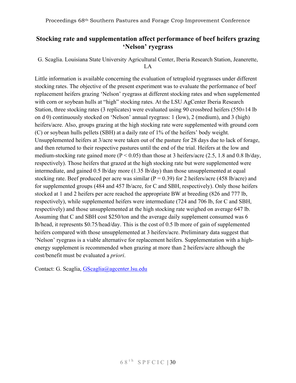## **Stocking rate and supplementation affect performance of beef heifers grazing 'Nelson' ryegrass**

G. Scaglia. Louisiana State University Agricultural Center, Iberia Research Station, Jeanerette, LA

Little information is available concerning the evaluation of tetraploid ryegrasses under different stocking rates. The objective of the present experiment was to evaluate the performance of beef replacement heifers grazing 'Nelson' ryegrass at different stocking rates and when supplemented with corn or soybean hulls at "high" stocking rates. At the LSU AgCenter Iberia Research Station, three stocking rates (3 replicates) were evaluated using 90 crossbred heifers (550 $\pm$ 14 lb) on d 0) continuously stocked on 'Nelson' annual ryegrass: 1 (low), 2 (medium), and 3 (high) heifers/acre. Also, groups grazing at the high stocking rate were supplemented with ground corn (C) or soybean hulls pellets (SBH) at a daily rate of 1% of the heifers' body weight. Unsupplemented heifers at 3/acre were taken out of the pasture for 28 days due to lack of forage, and then returned to their respective pastures until the end of the trial. Heifers at the low and medium-stocking rate gained more ( $P < 0.05$ ) than those at 3 heifers/acre (2.5, 1.8 and 0.8 lb/day, respectively). Those heifers that grazed at the high stocking rate but were supplemented were intermediate, and gained 0.5 lb/day more (1.35 lb/day) than those unsupplemented at equal stocking rate. Beef produced per acre was similar ( $P = 0.39$ ) for 2 heifers/acre (458 lb/acre) and for supplemented groups (484 and 457 lb/acre, for C and SBH, respectively). Only those heifers stocked at 1 and 2 heifers per acre reached the appropriate BW at breeding (826 and 777 lb, respectively), while supplemented heifers were intermediate (724 and 706 lb, for C and SBH, respectively) and those unsupplemented at the high stocking rate weighed on average 647 lb. Assuming that C and SBH cost \$250/ton and the average daily supplement consumed was 6 lb/head, it represents \$0.75/head/day. This is the cost of 0.5 lb more of gain of supplemented heifers compared with those unsupplemented at 3 heifers/acre. Preliminary data suggest that 'Nelson' ryegrass is a viable alternative for replacement heifers. Supplementation with a highenergy supplement is recommended when grazing at more than 2 heifers/acre although the cost/benefit must be evaluated a *priori*.

Contact: G. Scaglia, GScaglia@agcenter.lsu.edu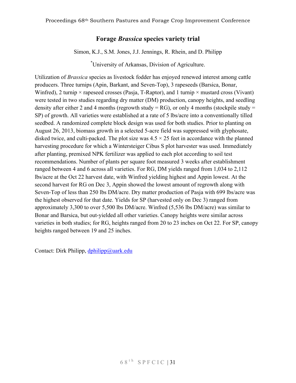## **Forage** *Brassica* **species variety trial**

Simon, K.J., S.M. Jones, J.J. Jennings, R. Rhein, and D. Philipp

\* University of Arkansas, Division of Agriculture.

Utilization of *Brassica* species as livestock fodder has enjoyed renewed interest among cattle producers. Three turnips (Apin, Barkant, and Seven-Top), 3 rapeseeds (Barsica, Bonar, Winfred), 2 turnip  $\times$  rapeseed crosses (Pasja, T-Raptor), and 1 turnip  $\times$  mustard cross (Vivant) were tested in two studies regarding dry matter (DM) production, canopy heights, and seedling density after either 2 and 4 months (regrowth study = RG), or only 4 months (stockpile study = SP) of growth. All varieties were established at a rate of 5 lbs/acre into a conventionally tilled seedbed. A randomized complete block design was used for both studies. Prior to planting on August 26, 2013, biomass growth in a selected 5-acre field was suppressed with glyphosate, disked twice, and culti-packed. The plot size was  $4.5 \times 25$  feet in accordance with the planned harvesting procedure for which a Wintersteiger Cibus S plot harvester was used. Immediately after planting, premixed NPK fertilizer was applied to each plot according to soil test recommendations. Number of plants per square foot measured 3 weeks after establishment ranged between 4 and 6 across all varieties. For RG, DM yields ranged from 1,034 to 2,112 lbs/acre at the Oct 22 harvest date, with Winfred yielding highest and Appin lowest. At the second harvest for RG on Dec 3, Appin showed the lowest amount of regrowth along with Seven-Top of less than 250 lbs DM/acre. Dry matter production of Pasja with 699 lbs/acre was the highest observed for that date. Yields for SP (harvested only on Dec 3) ranged from approximately 3,300 to over 5,500 lbs DM/acre. Winfred (5,536 lbs DM/acre) was similar to Bonar and Barsica, but out-yielded all other varieties. Canopy heights were similar across varieties in both studies; for RG, heights ranged from 20 to 23 inches on Oct 22. For SP, canopy heights ranged between 19 and 25 inches.

Contact: Dirk Philipp, dphilipp@uark.edu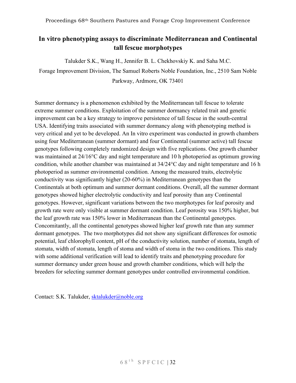## **In vitro phenotyping assays to discriminate Mediterranean and Continental tall fescue morphotypes**

Talukder S.K., Wang H., Jennifer B. L. Chekhovskiy K. and Saha M.C.

Forage Improvement Division, The Samuel Roberts Noble Foundation, Inc., 2510 Sam Noble Parkway, Ardmore, OK 73401

Summer dormancy is a phenomenon exhibited by the Mediterranean tall fescue to tolerate extreme summer conditions. Exploitation of the summer dormancy related trait and genetic improvement can be a key strategy to improve persistence of tall fescue in the south-central USA. Identifying traits associated with summer dormancy along with phenotyping method is very critical and yet to be developed. An In vitro experiment was conducted in growth chambers using four Mediterranean (summer dormant) and four Continental (summer active) tall fescue genotypes following completely randomized design with five replications. One growth chamber was maintained at 24/16°C day and night temperature and 10 h photoperiod as optimum growing condition, while another chamber was maintained at 34/24°C day and night temperature and 16 h photoperiod as summer environmental condition. Among the measured traits, electrolytic conductivity was significantly higher (20-60%) in Mediterranean genotypes than the Continentals at both optimum and summer dormant conditions. Overall, all the summer dormant genotypes showed higher electrolytic conductivity and leaf porosity than any Continental genotypes. However, significant variations between the two morphotypes for leaf porosity and growth rate were only visible at summer dormant condition. Leaf porosity was 150% higher, but the leaf growth rate was 150% lower in Mediterranean than the Continental genotypes. Concomitantly, all the continental genotypes showed higher leaf growth rate than any summer dormant genotypes. The two morphotypes did not show any significant differences for osmotic potential, leaf chlorophyll content, pH of the conductivity solution, number of stomata, length of stomata, width of stomata, length of stoma and width of stoma in the two conditions. This study with some additional verification will lead to identify traits and phenotyping procedure for summer dormancy under green house and growth chamber conditions, which will help the breeders for selecting summer dormant genotypes under controlled environmental condition.

Contact: S.K. Talukder, sktalukder@noble.org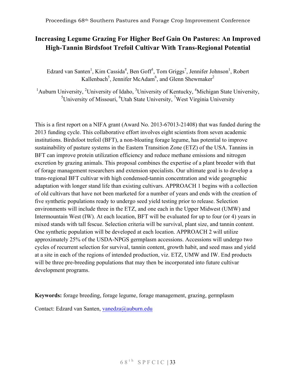## **Increasing Legume Grazing For Higher Beef Gain On Pastures: An Improved High-Tannin Birdsfoot Trefoil Cultivar With Trans-Regional Potential**

Edzard van Santen<sup>1</sup>, Kim Cassida<sup>4</sup>, Ben Goff<sup>3</sup>, Tom Griggs<sup>7</sup>, Jennifer Johnson<sup>1</sup>, Robert Kallenbach<sup>5</sup>, Jennifer McAdam<sup>6</sup>, and Glenn Shewmaker<sup>2</sup>

<sup>1</sup>Auburn University, <sup>2</sup>University of Idaho, <sup>3</sup>University of Kentucky, <sup>4</sup>Michigan State University, <sup>5</sup>University of Missouri, <sup>6</sup>Utah State University, <sup>7</sup>West Virginia University

This is a first report on a NIFA grant (Award No. 2013-67013-21408) that was funded during the 2013 funding cycle. This collaborative effort involves eight scientists from seven academic institutions. Birdsfoot trefoil (BFT), a non-bloating forage legume, has potential to improve sustainability of pasture systems in the Eastern Transition Zone (ETZ) of the USA. Tannins in BFT can improve protein utilization efficiency and reduce methane emissions and nitrogen excretion by grazing animals. This proposal combines the expertise of a plant breeder with that of forage management researchers and extension specialists. Our ultimate goal is to develop a trans-regional BFT cultivar with high condensed-tannin concentration and wide geographic adaptation with longer stand life than existing cultivars. APPROACH 1 begins with a collection of old cultivars that have not been marketed for a number of years and ends with the creation of five synthetic populations ready to undergo seed yield testing prior to release. Selection environments will include three in the ETZ, and one each in the Upper Midwest (UMW) and Intermountain West (IW). At each location, BFT will be evaluated for up to four (or 4) years in mixed stands with tall fescue. Selection criteria will be survival, plant size, and tannin content. One synthetic population will be developed at each location. APPROACH 2 will utilize approximately 25% of the USDA-NPGS germplasm accessions. Accessions will undergo two cycles of recurrent selection for survival, tannin content, growth habit, and seed mass and yield at a site in each of the regions of intended production, viz. ETZ, UMW and IW. End products will be three pre-breeding populations that may then be incorporated into future cultivar development programs.

**Keywords:** forage breeding, forage legume, forage management, grazing, germplasm

Contact: Edzard van Santen, vanedza@auburn.edu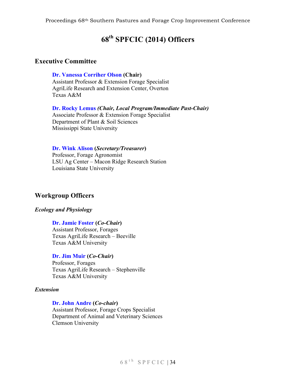## **68th SPFCIC (2014) Officers**

#### **Executive Committee**

**Dr. Vanessa Corriher Olson (Chair)**

Assistant Professor & Extension Forage Specialist AgriLife Research and Extension Center, Overton Texas A&M

**Dr. Rocky Lemus** *(Chair, Local Program/Immediate Past-Chair)* Associate Professor & Extension Forage Specialist Department of Plant & Soil Sciences Mississippi State University

#### **Dr. Wink Alison (***Secretary/Treasurer***)**

Professor, Forage Agronomist LSU Ag Center – Macon Ridge Research Station Louisiana State University

#### **Workgroup Officers**

#### *Ecology and Physiology*

#### **Dr. Jamie Foster (***Co-Chair***)**

Assistant Professor, Forages Texas AgriLife Research – Beeville Texas A&M University

#### **Dr. Jim Muir (***Co-Chair***)**

Professor, Forages Texas AgriLife Research – Stephenville Texas A&M University

#### *Extension*

#### **Dr. John Andre (***Co-chair***)**

Assistant Professor, Forage Crops Specialist Department of Animal and Veterinary Sciences Clemson University